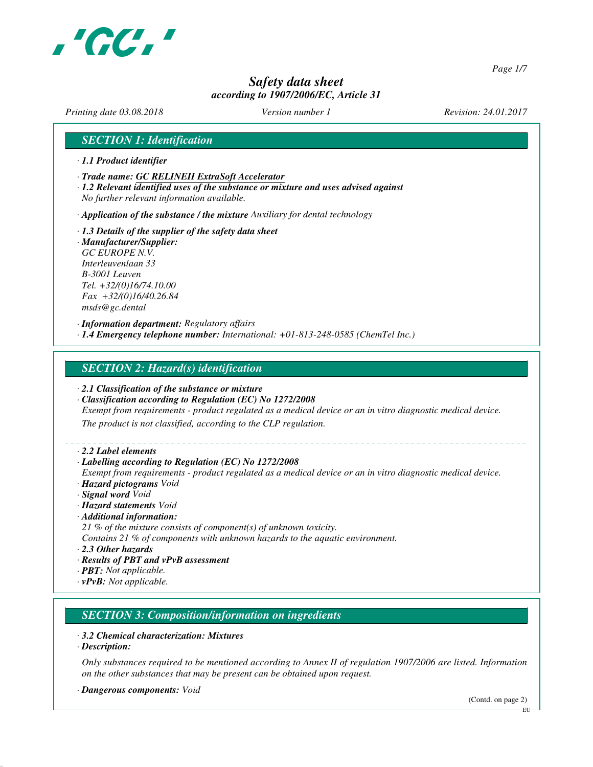

*Page 1/7*

# *Safety data sheet according to 1907/2006/EC, Article 31*

*Printing date 03.08.2018 Version number 1 Revision: 24.01.2017*

## *SECTION 1: Identification*

- *· 1.1 Product identifier*
- *· Trade name: GC RELINEII ExtraSoft Accelerator*
- *· 1.2 Relevant identified uses of the substance or mixture and uses advised against No further relevant information available.*
- *· Application of the substance / the mixture Auxiliary for dental technology*
- *· 1.3 Details of the supplier of the safety data sheet · Manufacturer/Supplier: GC EUROPE N.V. Interleuvenlaan 33 B-3001 Leuven Tel. +32/(0)16/74.10.00 Fax +32/(0)16/40.26.84 msds@gc.dental*

*· Information department: Regulatory affairs · 1.4 Emergency telephone number: International: +01-813-248-0585 (ChemTel Inc.)*

## *SECTION 2: Hazard(s) identification*

- *· 2.1 Classification of the substance or mixture*
- *· Classification according to Regulation (EC) No 1272/2008*
- *Exempt from requirements product regulated as a medical device or an in vitro diagnostic medical device.*

*The product is not classified, according to the CLP regulation.*

*· 2.2 Label elements*

#### *· Labelling according to Regulation (EC) No 1272/2008*

- *Exempt from requirements product regulated as a medical device or an in vitro diagnostic medical device. · Hazard pictograms Void*
- *· Signal word Void*
- *· Hazard statements Void*
- *· Additional information:*
- *21 % of the mixture consists of component(s) of unknown toxicity.*
- *Contains 21 % of components with unknown hazards to the aquatic environment.*
- *· 2.3 Other hazards*
- *· Results of PBT and vPvB assessment*
- *· PBT: Not applicable.*
- *· vPvB: Not applicable.*

# *SECTION 3: Composition/information on ingredients*

#### *· 3.2 Chemical characterization: Mixtures*

*· Description:*

*Only substances required to be mentioned according to Annex II of regulation 1907/2006 are listed. Information on the other substances that may be present can be obtained upon request.*

*· Dangerous components: Void*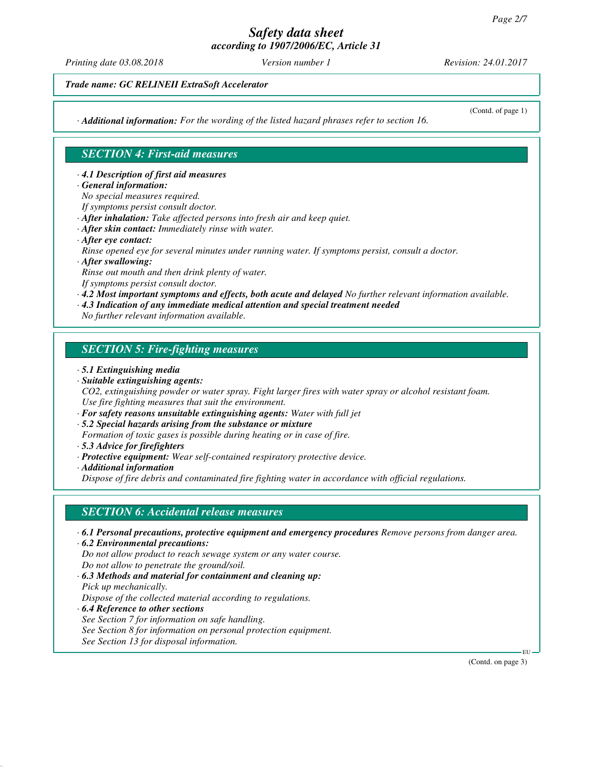*Printing date 03.08.2018 Version number 1 Revision: 24.01.2017*

*Trade name: GC RELINEII ExtraSoft Accelerator*

*· Additional information: For the wording of the listed hazard phrases refer to section 16.*

(Contd. of page 1)

# *SECTION 4: First-aid measures*

*· 4.1 Description of first aid measures*

- *· General information:*
- *No special measures required.*
- *If symptoms persist consult doctor.*
- *· After inhalation: Take affected persons into fresh air and keep quiet.*
- *· After skin contact: Immediately rinse with water.*
- *· After eye contact:*

*Rinse opened eye for several minutes under running water. If symptoms persist, consult a doctor.*

*· After swallowing:*

*Rinse out mouth and then drink plenty of water. If symptoms persist consult doctor.*

*· 4.2 Most important symptoms and effects, both acute and delayed No further relevant information available.*

*· 4.3 Indication of any immediate medical attention and special treatment needed*

*No further relevant information available.*

# *SECTION 5: Fire-fighting measures*

- *· 5.1 Extinguishing media*
- *· Suitable extinguishing agents:*

*CO2, extinguishing powder or water spray. Fight larger fires with water spray or alcohol resistant foam. Use fire fighting measures that suit the environment.*

- *· For safety reasons unsuitable extinguishing agents: Water with full jet*
- *· 5.2 Special hazards arising from the substance or mixture*

*Formation of toxic gases is possible during heating or in case of fire.*

- *· 5.3 Advice for firefighters*
- *· Protective equipment: Wear self-contained respiratory protective device.*

*· Additional information*

*Dispose of fire debris and contaminated fire fighting water in accordance with official regulations.*

# *SECTION 6: Accidental release measures*

- *· 6.1 Personal precautions, protective equipment and emergency procedures Remove persons from danger area.*
- *· 6.2 Environmental precautions: Do not allow product to reach sewage system or any water course. Do not allow to penetrate the ground/soil.*
- *· 6.3 Methods and material for containment and cleaning up: Pick up mechanically.*

*Dispose of the collected material according to regulations.*

*· 6.4 Reference to other sections See Section 7 for information on safe handling. See Section 8 for information on personal protection equipment. See Section 13 for disposal information.*

(Contd. on page 3)

EU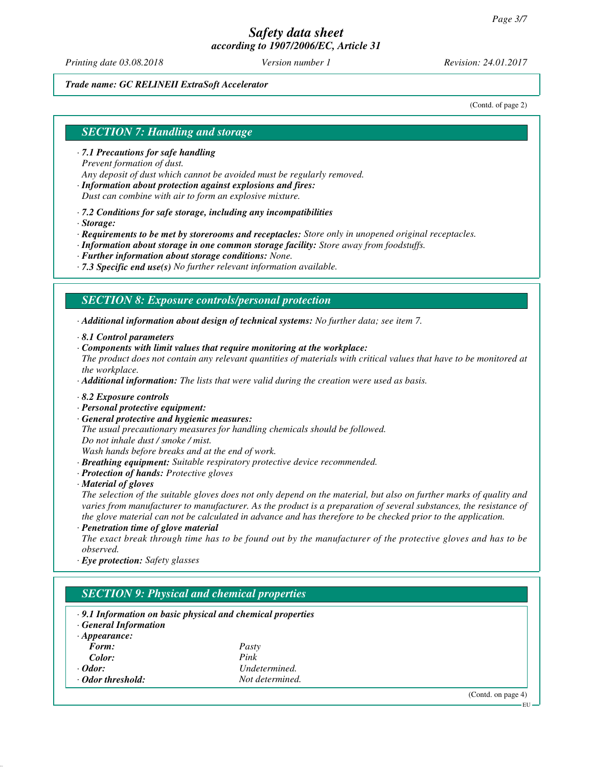*Printing date 03.08.2018 Version number 1 Revision: 24.01.2017*

### *Trade name: GC RELINEII ExtraSoft Accelerator*

(Contd. of page 2)

## *SECTION 7: Handling and storage*

- *· 7.1 Precautions for safe handling Prevent formation of dust.*
- *Any deposit of dust which cannot be avoided must be regularly removed.*
- *· Information about protection against explosions and fires: Dust can combine with air to form an explosive mixture.*
- *· 7.2 Conditions for safe storage, including any incompatibilities*
- *· Storage:*

*· Requirements to be met by storerooms and receptacles: Store only in unopened original receptacles.*

- *· Information about storage in one common storage facility: Store away from foodstuffs.*
- *· Further information about storage conditions: None.*
- *· 7.3 Specific end use(s) No further relevant information available.*

## *SECTION 8: Exposure controls/personal protection*

*· Additional information about design of technical systems: No further data; see item 7.*

- *· 8.1 Control parameters*
- *· Components with limit values that require monitoring at the workplace:*
- *The product does not contain any relevant quantities of materials with critical values that have to be monitored at the workplace.*

*· Additional information: The lists that were valid during the creation were used as basis.*

- *· 8.2 Exposure controls*
- *· Personal protective equipment:*
- *· General protective and hygienic measures:*

*The usual precautionary measures for handling chemicals should be followed. Do not inhale dust / smoke / mist.*

*Wash hands before breaks and at the end of work.*

- *· Breathing equipment: Suitable respiratory protective device recommended.*
- *· Protection of hands: Protective gloves*
- *· Material of gloves*

*The selection of the suitable gloves does not only depend on the material, but also on further marks of quality and varies from manufacturer to manufacturer. As the product is a preparation of several substances, the resistance of the glove material can not be calculated in advance and has therefore to be checked prior to the application.*

*· Penetration time of glove material*

*The exact break through time has to be found out by the manufacturer of the protective gloves and has to be observed.*

*· Eye protection: Safety glasses*

# *SECTION 9: Physical and chemical properties*

- *· 9.1 Information on basic physical and chemical properties*
- *· General Information*

| $\cdot$ Appearance: |                 |
|---------------------|-----------------|
| Form:               | Pasty           |
| Color:              | Pink            |
| $\cdot$ Odor:       | Undetermined.   |
| · Odor threshold:   | Not determined. |

(Contd. on page 4)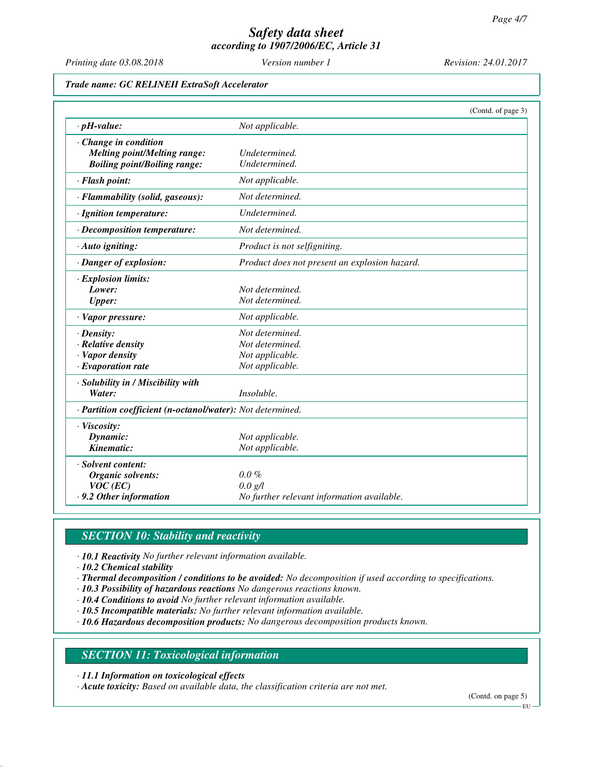*Printing date 03.08.2018 Version number 1 Revision: 24.01.2017*

### *Trade name: GC RELINEII ExtraSoft Accelerator*

|                                                            |                                               | (Contd. of page 3) |  |
|------------------------------------------------------------|-----------------------------------------------|--------------------|--|
| $\cdot$ pH-value:                                          | Not applicable.                               |                    |  |
| Change in condition                                        |                                               |                    |  |
| <b>Melting point/Melting range:</b>                        | Undetermined.                                 |                    |  |
| <b>Boiling point/Boiling range:</b>                        | Undetermined.                                 |                    |  |
| · Flash point:                                             | Not applicable.                               |                    |  |
| · Flammability (solid, gaseous):                           | Not determined.                               |                    |  |
| · Ignition temperature:                                    | Undetermined.                                 |                    |  |
| · Decomposition temperature:                               | Not determined.                               |                    |  |
| · Auto igniting:                                           | Product is not selfigniting.                  |                    |  |
| · Danger of explosion:                                     | Product does not present an explosion hazard. |                    |  |
| · Explosion limits:                                        |                                               |                    |  |
| Lower:                                                     | Not determined.                               |                    |  |
| <b>Upper:</b>                                              | Not determined.                               |                    |  |
| · Vapor pressure:                                          | Not applicable.                               |                    |  |
| $\cdot$ Density:                                           | Not determined.                               |                    |  |
| $\cdot$ Relative density                                   | Not determined.                               |                    |  |
| · Vapor density                                            | Not applicable.                               |                    |  |
| $\cdot$ Evaporation rate                                   | Not applicable.                               |                    |  |
| · Solubility in / Miscibility with                         |                                               |                    |  |
| Water:                                                     | Insoluble.                                    |                    |  |
| · Partition coefficient (n-octanol/water): Not determined. |                                               |                    |  |
| · Viscosity:                                               |                                               |                    |  |
| Dynamic:                                                   | Not applicable.                               |                    |  |
| Kinematic:                                                 | Not applicable.                               |                    |  |
| · Solvent content:                                         |                                               |                    |  |
| Organic solvents:                                          | $0.0 \%$                                      |                    |  |
| $VOC$ (EC)                                                 | $0.0 \text{ g/l}$                             |                    |  |
| .9.2 Other information                                     | No further relevant information available.    |                    |  |

## *SECTION 10: Stability and reactivity*

*· 10.1 Reactivity No further relevant information available.*

*· 10.2 Chemical stability*

- *· Thermal decomposition / conditions to be avoided: No decomposition if used according to specifications.*
- *· 10.3 Possibility of hazardous reactions No dangerous reactions known.*
- *· 10.4 Conditions to avoid No further relevant information available.*
- *· 10.5 Incompatible materials: No further relevant information available.*

*· 10.6 Hazardous decomposition products: No dangerous decomposition products known.*

## *SECTION 11: Toxicological information*

*· 11.1 Information on toxicological effects*

*· Acute toxicity: Based on available data, the classification criteria are not met.*

(Contd. on page 5)

EU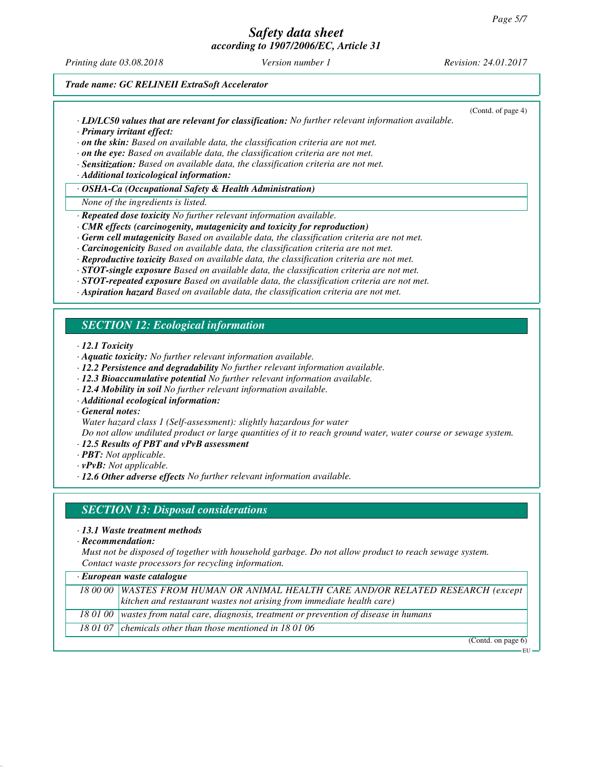# *Safety data sheet*

*according to 1907/2006/EC, Article 31*

*Printing date 03.08.2018 Version number 1 Revision: 24.01.2017*

(Contd. of page 4)

*Trade name: GC RELINEII ExtraSoft Accelerator*

- *· LD/LC50 values that are relevant for classification: No further relevant information available. · Primary irritant effect:*
- *· on the skin: Based on available data, the classification criteria are not met.*
- *· on the eye: Based on available data, the classification criteria are not met.*
- *· Sensitization: Based on available data, the classification criteria are not met.*

*· Additional toxicological information:*

*· OSHA-Ca (Occupational Safety & Health Administration)*

*None of the ingredients is listed.*

- *· Repeated dose toxicity No further relevant information available.*
- *· CMR effects (carcinogenity, mutagenicity and toxicity for reproduction)*
- *· Germ cell mutagenicity Based on available data, the classification criteria are not met.*
- *· Carcinogenicity Based on available data, the classification criteria are not met.*
- *· Reproductive toxicity Based on available data, the classification criteria are not met.*
- *· STOT-single exposure Based on available data, the classification criteria are not met.*
- *· STOT-repeated exposure Based on available data, the classification criteria are not met.*
- *· Aspiration hazard Based on available data, the classification criteria are not met.*

# *SECTION 12: Ecological information*

*· 12.1 Toxicity*

- *· Aquatic toxicity: No further relevant information available.*
- *· 12.2 Persistence and degradability No further relevant information available.*
- *· 12.3 Bioaccumulative potential No further relevant information available.*
- *· 12.4 Mobility in soil No further relevant information available.*
- *· Additional ecological information:*
- *· General notes:*
- *Water hazard class 1 (Self-assessment): slightly hazardous for water*

*Do not allow undiluted product or large quantities of it to reach ground water, water course or sewage system.*

- *· 12.5 Results of PBT and vPvB assessment*
- *· PBT: Not applicable.*
- *· vPvB: Not applicable.*
- *· 12.6 Other adverse effects No further relevant information available.*

## *SECTION 13: Disposal considerations*

- *· 13.1 Waste treatment methods*
- *· Recommendation:*

*Must not be disposed of together with household garbage. Do not allow product to reach sewage system. Contact waste processors for recycling information.*

| $\cdot$ European waste catalogue |                                                                                            |  |
|----------------------------------|--------------------------------------------------------------------------------------------|--|
|                                  | 18 00 00 WASTES FROM HUMAN OR ANIMAL HEALTH CARE AND/OR RELATED RESEARCH (except           |  |
|                                  | kitchen and restaurant wastes not arising from immediate health care)                      |  |
|                                  | 18 01 00   wastes from natal care, diagnosis, treatment or prevention of disease in humans |  |
|                                  | 18 01 07   chemicals other than those mentioned in 18 01 06                                |  |

(Contd. on page 6) EU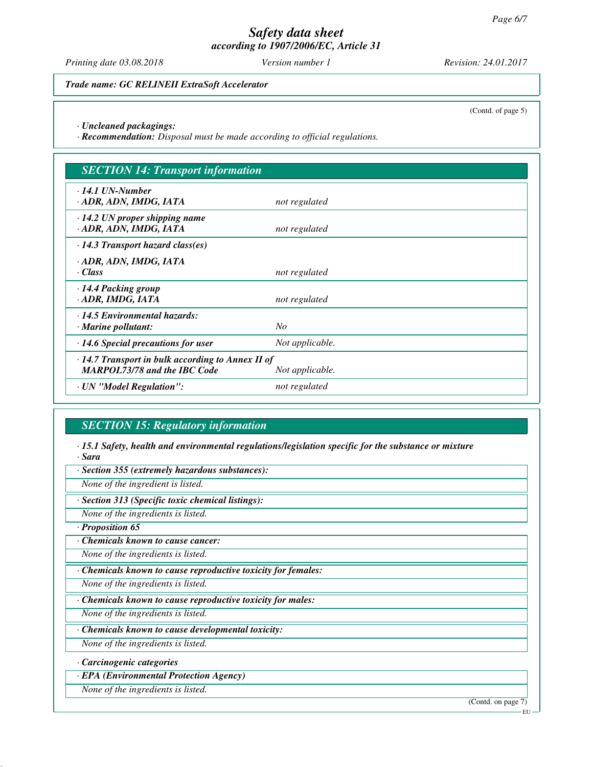*Printing date 03.08.2018 Version number 1 Revision: 24.01.2017*

*Trade name: GC RELINEII ExtraSoft Accelerator*

(Contd. of page 5)

*· Uncleaned packagings:*

*· Recommendation: Disposal must be made according to official regulations.*

| <b>SECTION 14: Transport information</b>                                                                          |                 |
|-------------------------------------------------------------------------------------------------------------------|-----------------|
| $\cdot$ 14.1 UN-Number<br>· ADR, ADN, IMDG, IATA                                                                  | not regulated   |
| $\cdot$ 14.2 UN proper shipping name<br>· ADR, ADN, IMDG, IATA                                                    | not regulated   |
| $\cdot$ 14.3 Transport hazard class(es)                                                                           |                 |
| · ADR, ADN, IMDG, IATA<br>· Class                                                                                 | not regulated   |
| $\cdot$ 14.4 Packing group<br>· ADR, IMDG, IATA                                                                   | not regulated   |
| $\cdot$ 14.5 Environmental hazards:<br>$\cdot$ Marine pollutant:                                                  | No              |
| $\cdot$ 14.6 Special precautions for user                                                                         | Not applicable. |
| $\cdot$ 14.7 Transport in bulk according to Annex II of<br><b>MARPOL73/78 and the IBC Code</b><br>Not applicable. |                 |
| · UN "Model Regulation":                                                                                          | not regulated   |

# *SECTION 15: Regulatory information*

*· 15.1 Safety, health and environmental regulations/legislation specific for the substance or mixture · Sara*

*· Section 355 (extremely hazardous substances):*

*None of the ingredient is listed.*

*· Section 313 (Specific toxic chemical listings):*

*None of the ingredients is listed.*

*· Proposition 65*

*· Chemicals known to cause cancer:*

*None of the ingredients is listed.*

*· Chemicals known to cause reproductive toxicity for females:*

*None of the ingredients is listed.*

*· Chemicals known to cause reproductive toxicity for males:*

*None of the ingredients is listed.*

*· Chemicals known to cause developmental toxicity:*

*None of the ingredients is listed.*

*· Carcinogenic categories*

*· EPA (Environmental Protection Agency)*

*None of the ingredients is listed.*

(Contd. on page 7)

EU